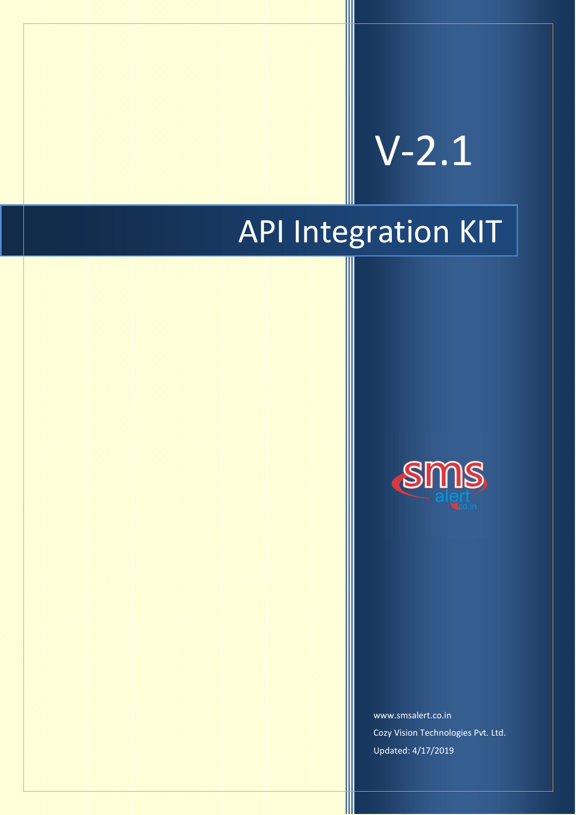# V-2.1

## API Integration KIT



www.smsalert.co.in Cozy Vision Technologies Pvt. Ltd. Updated: 4/17/2019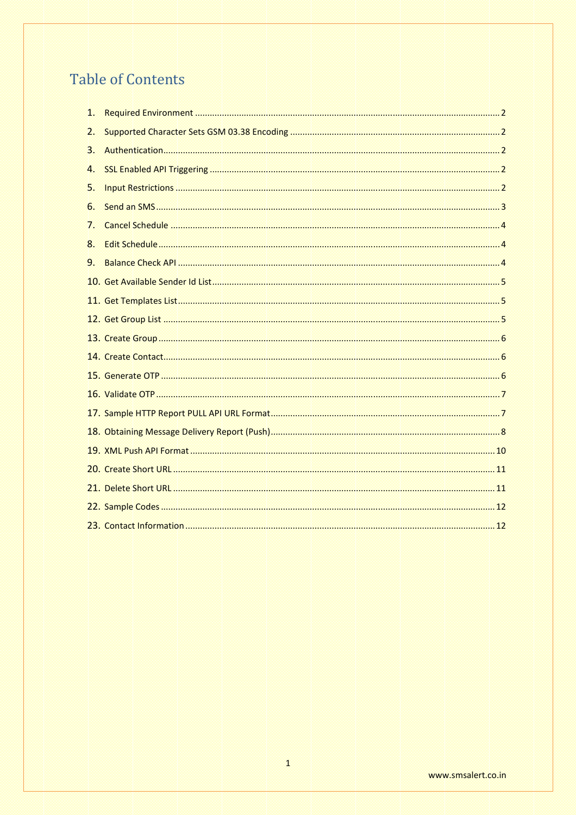## **Table of Contents**

| 1. |  |
|----|--|
| 2. |  |
| 3. |  |
| 4. |  |
| 5. |  |
| 6. |  |
| 7. |  |
| 8. |  |
| 9. |  |
|    |  |
|    |  |
|    |  |
|    |  |
|    |  |
|    |  |
|    |  |
|    |  |
|    |  |
|    |  |
|    |  |
|    |  |
|    |  |
|    |  |
|    |  |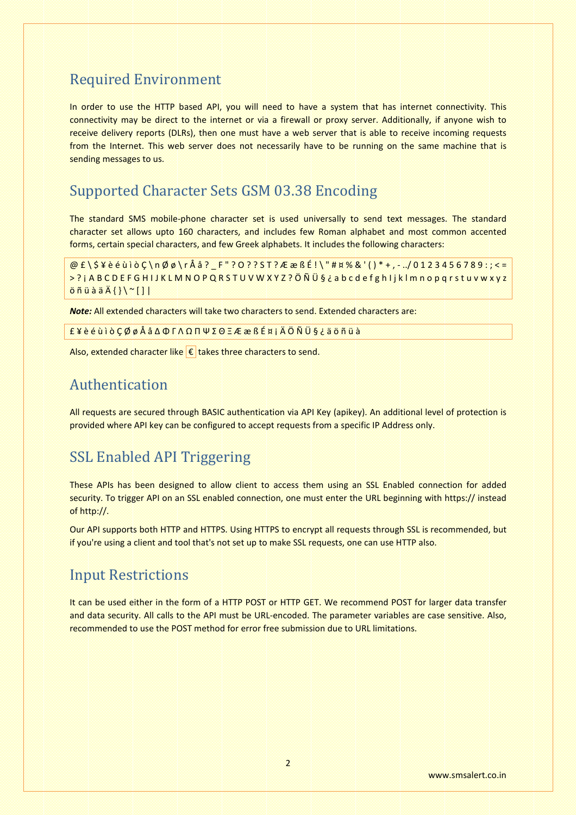## **Required Environment**

In order to use the HTTP based API, you will need to have a system that has internet connectivity. This connectivity may be direct to the internet or via a firewall or proxy server. Additionally, if anyone wish to receive delivery reports (DLRs), then one must have a web server that is able to receive incoming requests from the Internet. This web server does not necessarily have to be running on the same machine that is sending messages to us.

## **Supported Character Sets GSM 03.38 Encoding**

The standard SMS mobile-phone character set is used universally to send text messages. The standard character set allows upto 160 characters, and includes few Roman alphabet and most common accented forms, certain special characters, and few Greek alphabets. It includes the following characters:

 $@f\S4e\'{e\`u\i\`o}C\n\n0@\rÅa?{} F''?O??ST?ÆæBÉ!\H#X\%&'() * +, -./0123456789$ >?jABCDEFGHIJKLMNOPQRSTUVWXYZ?ÖÑܧ¿abcdefghljklmnopqrstuvwxyz  $\ddot{o}$   $\ddot{o}$   $\ddot{o}$   $\ddot{o}$   $\ddot{o}$   $\ddot{o}$   $\ddot{o}$   $\ddot{o}$   $\ddot{o}$   $\ddot{o}$   $\ddot{o}$   $\ddot{o}$   $\ddot{o}$   $\ddot{o}$   $\ddot{o}$   $\ddot{o}$   $\ddot{o}$   $\ddot{o}$   $\ddot{o}$   $\ddot{o}$   $\ddot{o}$   $\ddot{o}$   $\ddot{o}$   $\ddot{o}$   $\ddot{o}$   $\ddot{o}$   $\ddot{o}$   $\ddot{o$ 

Note: All extended characters will take two characters to send. Extended characters are:

£¥èéùìòÇØøÅåΔΦΓΛΩΠΨΣΘΞÆæßɤjÄÖÑܧ¿äöñüà

Also, extended character like  $\epsilon$  takes three characters to send.

#### Authentication

All requests are secured through BASIC authentication via API Key (apikey). An additional level of protection is provided where API key can be configured to accept requests from a specific IP Address only.

## **SSL Enabled API Triggering**

These APIs has been designed to allow client to access them using an SSL Enabled connection for added security. To trigger API on an SSL enabled connection, one must enter the URL beginning with https:// instead of http://.

Our API supports both HTTP and HTTPS. Using HTTPS to encrypt all requests through SSL is recommended, but if you're using a client and tool that's not set up to make SSL requests, one can use HTTP also.

## **Input Restrictions**

It can be used either in the form of a HTTP POST or HTTP GET. We recommend POST for larger data transfer and data security. All calls to the API must be URL-encoded. The parameter variables are case sensitive. Also, recommended to use the POST method for error free submission due to URL limitations.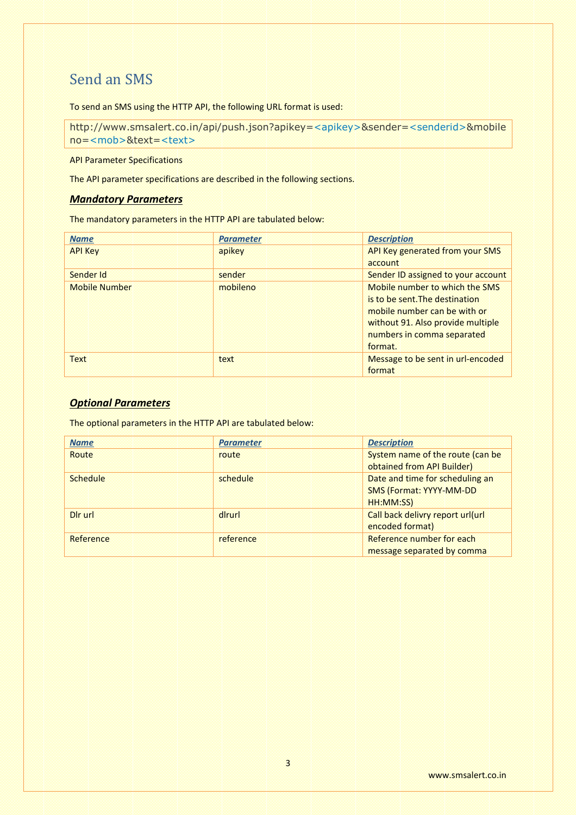## Send an SMS

To send an SMS using the HTTP API, the following URL format is used:

http://www.smsalert.co.in/api/push.json?apikey=<apikey>&sender=<senderid>&mobile no=<mob>&text=<text>

API Parameter Specifications

The API parameter specifications are described in the following sections.

#### *Mandatory Parameters*

The mandatory parameters in the HTTP API are tabulated below:

| <b>Name</b>          | <b>Parameter</b> | <b>Description</b>                 |
|----------------------|------------------|------------------------------------|
| <b>API Key</b>       | apikey           | API Key generated from your SMS    |
|                      |                  | account                            |
| Sender Id            | sender           | Sender ID assigned to your account |
| <b>Mobile Number</b> | mobileno         | Mobile number to which the SMS     |
|                      |                  | is to be sent. The destination     |
|                      |                  | mobile number can be with or       |
|                      |                  | without 91. Also provide multiple  |
|                      |                  | numbers in comma separated         |
|                      |                  | format.                            |
| <b>Text</b>          | text             | Message to be sent in url-encoded  |
|                      |                  | format                             |

#### *Optional Parameters*

The optional parameters in the HTTP API are tabulated below:

| <b>Name</b>     | <b>Parameter</b> | <b>Description</b>               |
|-----------------|------------------|----------------------------------|
| Route           | route            | System name of the route (can be |
|                 |                  | obtained from API Builder)       |
| <b>Schedule</b> | schedule         | Date and time for scheduling an  |
|                 |                  | <b>SMS (Format: YYYY-MM-DD</b>   |
|                 |                  | HH:MM:SS)                        |
| Dir url         | diruri           | Call back delivry report url(url |
|                 |                  | encoded format)                  |
| Reference       | reference        | Reference number for each        |
|                 |                  | message separated by comma       |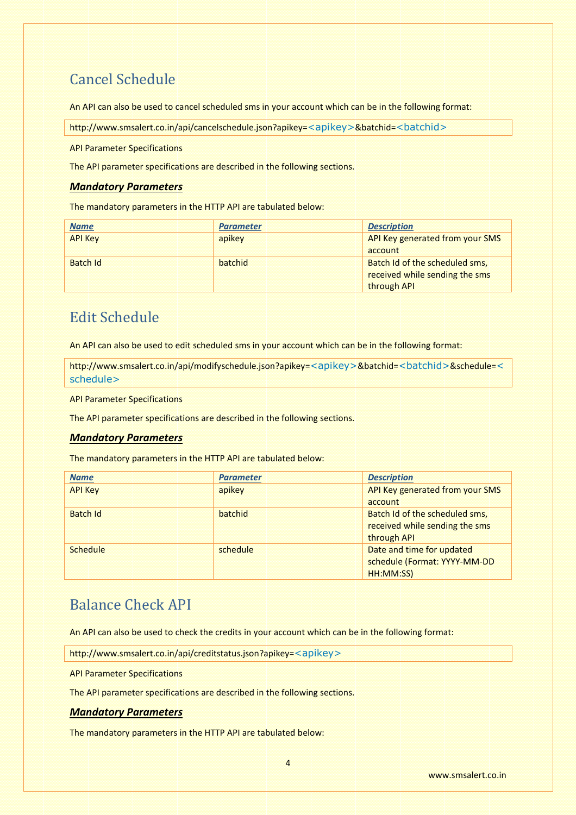## Cancel Schedule

An API can also be used to cancel scheduled sms in your account which can be in the following format:

http://www.smsalert.co.in/api/cancelschedule.json?apikey=<apikey>&batchid=<br/><br/>chid>

API Parameter Specifications

The API parameter specifications are described in the following sections.

#### *Mandatory Parameters*

The mandatory parameters in the HTTP API are tabulated below:

| <b>Name</b>     | <b>Parameter</b> | <b>Description</b>              |
|-----------------|------------------|---------------------------------|
| <b>API Key</b>  | apikey           | API Key generated from your SMS |
|                 |                  | account                         |
| <b>Batch Id</b> | batchid          | Batch Id of the scheduled sms,  |
|                 |                  | received while sending the sms  |
|                 |                  | through API                     |

## Edit Schedule

An API can also be used to edit scheduled sms in your account which can be in the following format:

http://www.smsalert.co.in/api/modifyschedule.json?apikey=<apikey>&batchid=<br/>>batchid>&schedule=< schedule>

API Parameter Specifications

The API parameter specifications are described in the following sections.

#### *Mandatory Parameters*

The mandatory parameters in the HTTP API are tabulated below:

| <b>Name</b>     | <b>Parameter</b> | <b>Description</b>              |
|-----------------|------------------|---------------------------------|
| <b>API Key</b>  | apikey           | API Key generated from your SMS |
|                 |                  | account                         |
| <b>Batch Id</b> | batchid          | Batch Id of the scheduled sms,  |
|                 |                  | received while sending the sms  |
|                 |                  | through API                     |
| <b>Schedule</b> | schedule         | Date and time for updated       |
|                 |                  | schedule (Format: YYYY-MM-DD    |
|                 |                  | HH:MM:SS)                       |

## Balance Check API

An API can also be used to check the credits in your account which can be in the following format:

http://www.smsalert.co.in/api/creditstatus.json?apikey=<apikey>

API Parameter Specifications

The API parameter specifications are described in the following sections.

#### *Mandatory Parameters*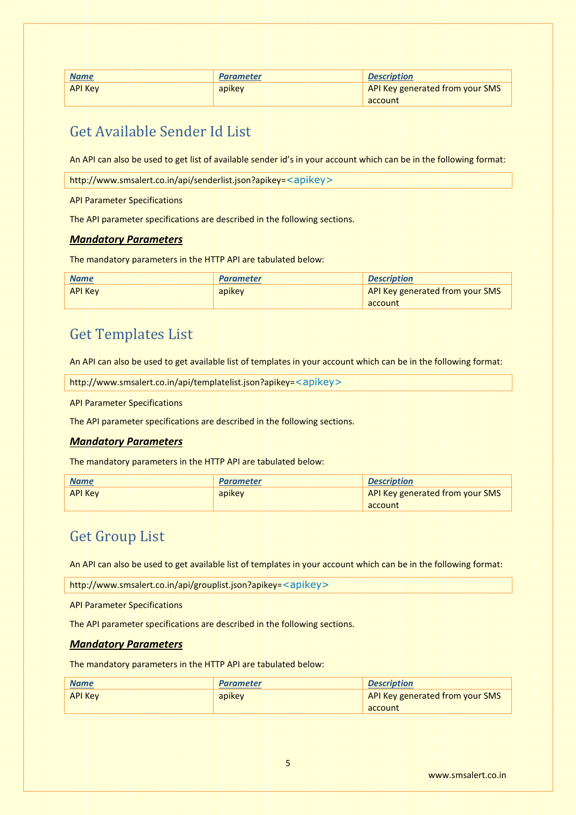| <b>Name</b>    | <b>Parameter</b> | <b>Description</b>              |
|----------------|------------------|---------------------------------|
| <b>API Key</b> | apikey           | API Key generated from your SMS |
|                |                  | account                         |

## Get Available Sender Id List

An API can also be used to get list of available sender id's in your account which can be in the following format:

http://www.smsalert.co.in/api/senderlist.json?apikey=<apikey>

API Parameter Specifications

The API parameter specifications are described in the following sections.

#### *Mandatory Parameters*

The mandatory parameters in the HTTP API are tabulated below:

| <b>Name</b>    | <b>Parameter</b> | <b>Description</b>              |
|----------------|------------------|---------------------------------|
| <b>API Key</b> | apikey           | API Key generated from your SMS |
|                |                  | account                         |

## Get Templates List

An API can also be used to get available list of templates in your account which can be in the following format:

http://www.smsalert.co.in/api/templatelist.json?apikey=<apikey>

API Parameter Specifications

The API parameter specifications are described in the following sections.

#### *Mandatory Parameters*

The mandatory parameters in the HTTP API are tabulated below:

| <b>Name</b>    | <b>Parameter</b> | <b>Description</b>                     |
|----------------|------------------|----------------------------------------|
| <b>API Key</b> | apikey           | <b>API Key generated from your SMS</b> |
|                |                  | account                                |

## Get Group List

An API can also be used to get available list of templates in your account which can be in the following format:

http://www.smsalert.co.in/api/grouplist.json?apikey=<apikey>

API Parameter Specifications

The API parameter specifications are described in the following sections.

#### *Mandatory Parameters*

| <b>Name</b>    | <b>Parameter</b> | <b>Description</b>                     |
|----------------|------------------|----------------------------------------|
| <b>API Key</b> | apikey           | <b>API Key generated from your SMS</b> |
|                |                  | account                                |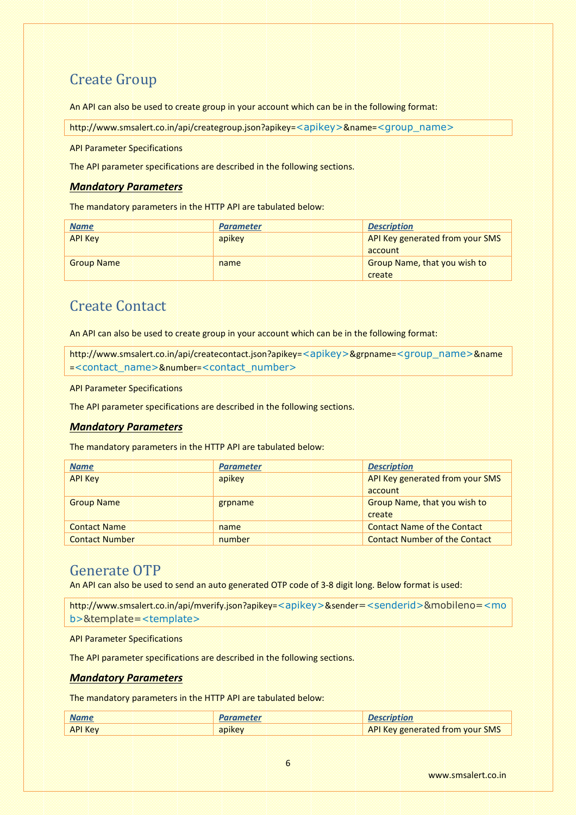## Create Group

An API can also be used to create group in your account which can be in the following format:

http://www.smsalert.co.in/api/creategroup.json?apikey=<apikey>&name=<group\_name>

API Parameter Specifications

The API parameter specifications are described in the following sections.

#### *Mandatory Parameters*

The mandatory parameters in the HTTP API are tabulated below:

| <b>Name</b>       | <b>Parameter</b> | <b>Description</b>                  |
|-------------------|------------------|-------------------------------------|
| <b>API Key</b>    | apikey           | API Key generated from your SMS     |
|                   |                  | account                             |
| <b>Group Name</b> | name             | <b>Group Name, that you wish to</b> |
|                   |                  | create                              |

## Create Contact

An API can also be used to create group in your account which can be in the following format:

http://www.smsalert.co.in/api/createcontact.json?apikey=<apikey>&grpname=<group\_name>&name =<contact\_name>&number=<contact\_number>

API Parameter Specifications

The API parameter specifications are described in the following sections.

#### *Mandatory Parameters*

The mandatory parameters in the HTTP API are tabulated below:

| <b>Name</b>           | <b>Parameter</b> | <b>Description</b>                   |
|-----------------------|------------------|--------------------------------------|
| <b>API Key</b>        | apikey           | API Key generated from your SMS      |
|                       |                  | account                              |
| <b>Group Name</b>     | grpname          | Group Name, that you wish to         |
|                       |                  | create                               |
| <b>Contact Name</b>   | name             | <b>Contact Name of the Contact</b>   |
| <b>Contact Number</b> | number           | <b>Contact Number of the Contact</b> |

#### Generate OTP

An API can also be used to send an auto generated OTP code of 3-8 digit long. Below format is used:

```
http://www.smsalert.co.in/api/mverify.json?apikey=<apikey>&sender=<senderid>&mobileno=<mo
b>&template=<template>
```
API Parameter Specifications

The API parameter specifications are described in the following sections.

#### *Mandatory Parameters*

| <b>Name</b>    | <b>Parameter</b> | <b>Description</b>                     |
|----------------|------------------|----------------------------------------|
| <b>API Key</b> | apikey           | <b>API Key generated from your SMS</b> |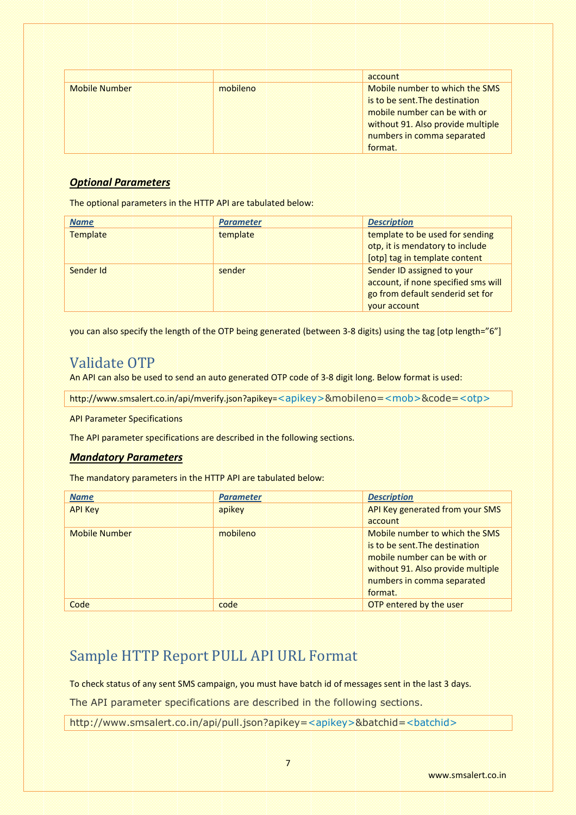|                      |          | account                           |
|----------------------|----------|-----------------------------------|
| <b>Mobile Number</b> | mobileno | Mobile number to which the SMS    |
|                      |          | is to be sent. The destination    |
|                      |          | mobile number can be with or      |
|                      |          | without 91. Also provide multiple |
|                      |          | numbers in comma separated        |
|                      |          | format.                           |

#### *Optional Parameters*

The optional parameters in the HTTP API are tabulated below:

| <b>Name</b>     | <b>Parameter</b> | <b>Description</b>                  |
|-----------------|------------------|-------------------------------------|
| <b>Template</b> | template         | template to be used for sending     |
|                 |                  | otp, it is mendatory to include     |
|                 |                  | [otp] tag in template content       |
| Sender Id       | sender           | Sender ID assigned to your          |
|                 |                  | account, if none specified sms will |
|                 |                  | go from default senderid set for    |
|                 |                  | <b>vour account</b>                 |

you can also specify the length of the OTP being generated (between 3-8 digits) using the tag [otp length="6"]

## Validate OTP

An API can also be used to send an auto generated OTP code of 3-8 digit long. Below format is used:

http://www.smsalert.co.in/api/mverify.json?apikey=<apikey>&mobileno=<mob>&code=<otp>

API Parameter Specifications

The API parameter specifications are described in the following sections.

#### *Mandatory Parameters*

The mandatory parameters in the HTTP API are tabulated below:

| <b>Name</b>          | <b>Parameter</b> | <b>Description</b>                |
|----------------------|------------------|-----------------------------------|
| <b>API Key</b>       | apikey           | API Key generated from your SMS   |
|                      |                  | account                           |
| <b>Mobile Number</b> | mobileno         | Mobile number to which the SMS    |
|                      |                  | is to be sent. The destination    |
|                      |                  | mobile number can be with or      |
|                      |                  | without 91. Also provide multiple |
|                      |                  | numbers in comma separated        |
|                      |                  | format.                           |
| Code                 | code             | OTP entered by the user           |

## Sample HTTP Report PULL API URL Format

To check status of any sent SMS campaign, you must have batch id of messages sent in the last 3 days.

The API parameter specifications are described in the following sections.

http://www.smsalert.co.in/api/pull.json?apikey=<apikey>&batchid=<batchid>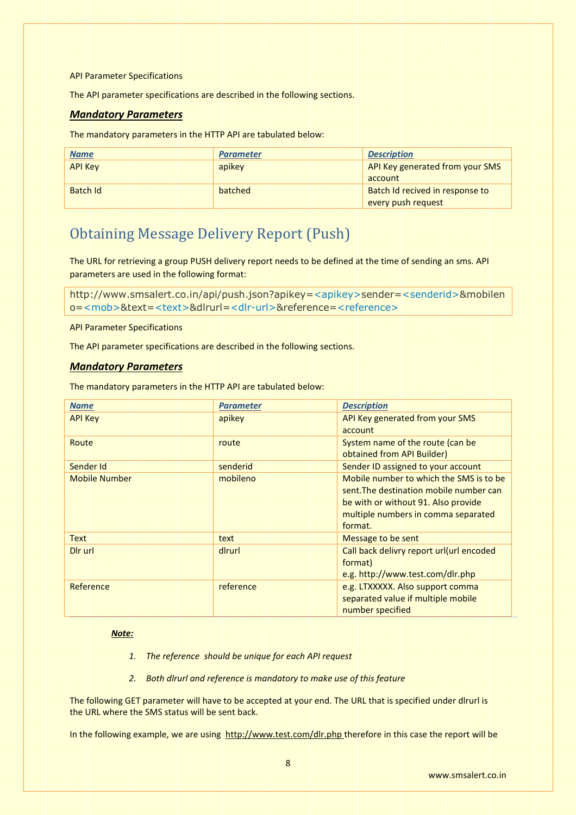API Parameter Specifications

The API parameter specifications are described in the following sections.

#### *Mandatory Parameters*

The mandatory parameters in the HTTP API are tabulated below:

| <b>Name</b>     | <b>Parameter</b> | <b>Description</b>              |
|-----------------|------------------|---------------------------------|
| <b>API Key</b>  | apikey           | API Key generated from your SMS |
|                 |                  | account                         |
| <b>Batch Id</b> | batched          | Batch Id recived in response to |
|                 |                  | every push request              |

## Obtaining Message Delivery Report (Push)

The URL for retrieving a group PUSH delivery report needs to be defined at the time of sending an sms. API parameters are used in the following format:

http://www.smsalert.co.in/api/push.json?apikey=<apikey>sender=<senderid>&mobilen o=<mob>&text=<text>&dlrurl=<dlr-url>&reference=<reference>

API Parameter Specifications

The API parameter specifications are described in the following sections.

#### *Mandatory Parameters*

The mandatory parameters in the HTTP API are tabulated below:

| <b>Name</b>          | <b>Parameter</b> | <b>Description</b>                       |
|----------------------|------------------|------------------------------------------|
| <b>API Key</b>       | apikey           | API Key generated from your SMS          |
|                      |                  | account                                  |
| Route                | route            | System name of the route (can be         |
|                      |                  | obtained from API Builder)               |
| Sender Id            | senderid         | Sender ID assigned to your account       |
| <b>Mobile Number</b> | mobileno         | Mobile number to which the SMS is to be  |
|                      |                  | sent. The destination mobile number can  |
|                      |                  | be with or without 91. Also provide      |
|                      |                  | multiple numbers in comma separated      |
|                      |                  | format.                                  |
| <b>Text</b>          | text             | Message to be sent                       |
| Dir url              | diruri           | Call back delivry report url(url encoded |
|                      |                  | format)                                  |
|                      |                  | e.g. http://www.test.com/dlr.php         |
| Reference            | reference        | e.g. LTXXXXX. Also support comma         |
|                      |                  | separated value if multiple mobile       |
|                      |                  | number specified                         |

#### *Note:*

- *1. The reference should be unique for each API request*
- *2. Both dlrurl and reference is mandatory to make use of this feature*

The following GET parameter will have to be accepted at your end. The URL that is specified under dlrurl is the URL where the SMS status will be sent back.

In the following example, we are using http://www.test.com/dlr.php therefore in this case the report will be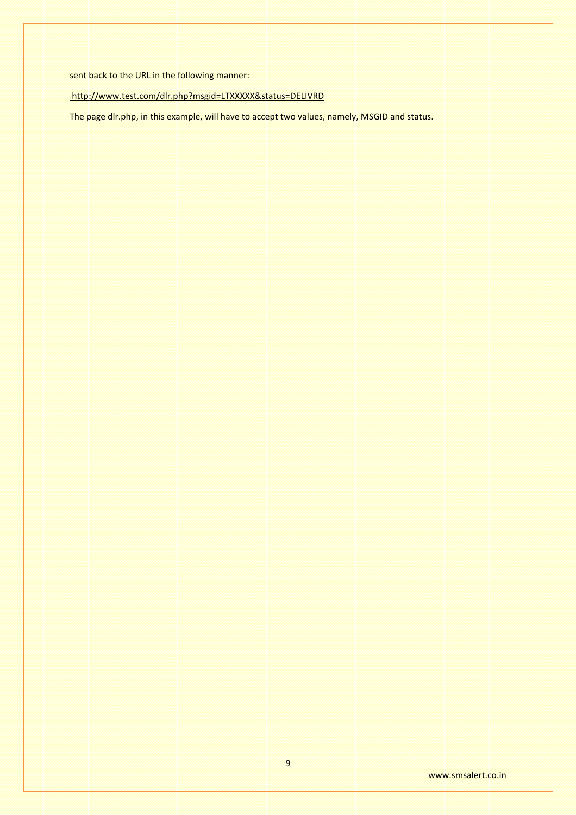sent back to the URL in the following manner:

#### http://www.test.com/dlr.php?msgid=LTXXXXX&status=DELIVRD

The page dlr.php, in this example, will have to accept two values, namely, MSGID and status.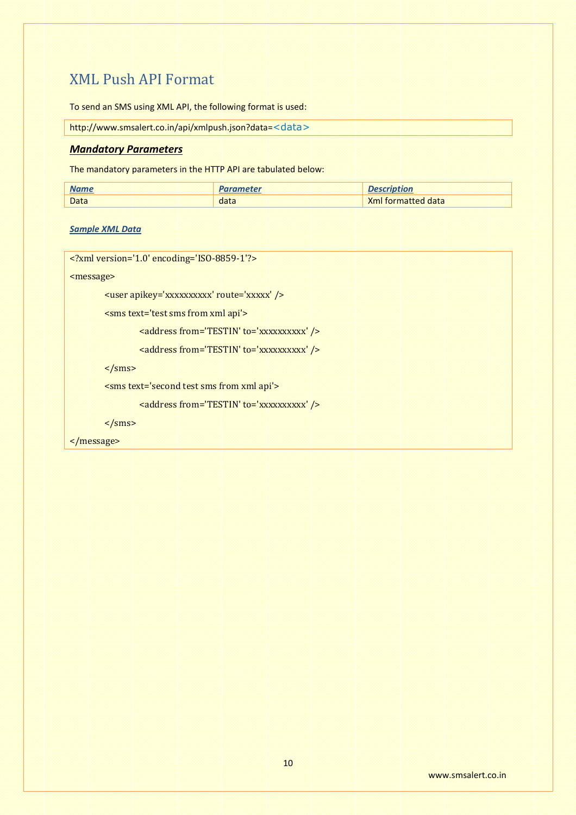## XML Push API Format

To send an SMS using XML API, the following format is used:

http://www.smsalert.co.in/api/xmlpush.json?data=<data>

#### *Mandatory Parameters*

The mandatory parameters in the HTTP API are tabulated below:

| <b>Name</b> |      |                           |
|-------------|------|---------------------------|
| <b>Data</b> | data | <b>Xml</b> formatted data |

#### *Sample XML Data*

<?xml version='1.0' encoding='ISO-8859-1'?>

<message>

<user apikey='xxxxxxxxxx' route='xxxxx' />

<sms text='test sms from xml api'>

<address from='TESTIN' to='xxxxxxxxxx' />

<address from='TESTIN' to='xxxxxxxxxx' />

 $\langle$ /sms>

<sms text='second test sms from xml api'>

```
<address from='TESTIN' to='xxxxxxxxxx' />
```
 $\langle$ /sms>

</message>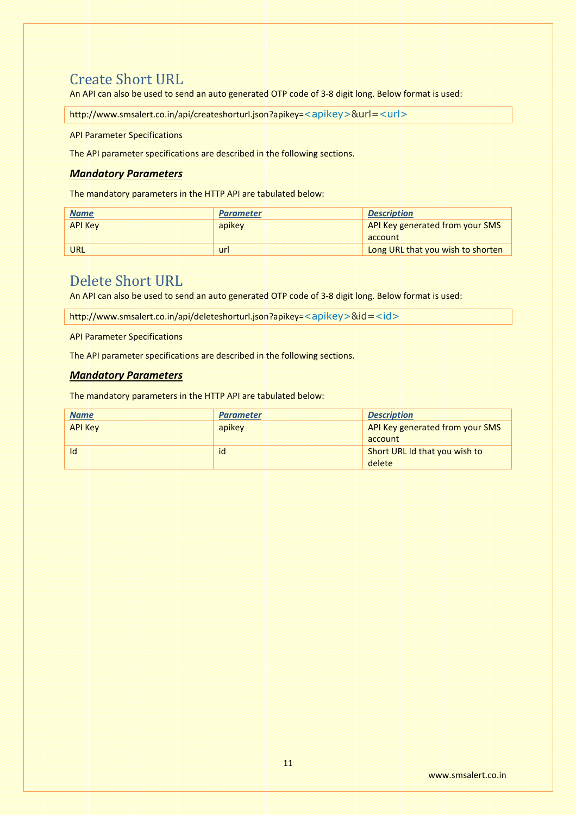## Create Short URL

An API can also be used to send an auto generated OTP code of 3-8 digit long. Below format is used:

http://www.smsalert.co.in/api/createshorturl.json?apikey=<apikey>&url=<url>

API Parameter Specifications

The API parameter specifications are described in the following sections.

#### *Mandatory Parameters*

The mandatory parameters in the HTTP API are tabulated below:

| <b>Name</b>    | <b>Parameter</b> | <b>Description</b>                |
|----------------|------------------|-----------------------------------|
| <b>API Key</b> | apikey           | API Key generated from your SMS   |
|                |                  | account                           |
| URL            | url              | Long URL that you wish to shorten |

## Delete Short URL

An API can also be used to send an auto generated OTP code of 3-8 digit long. Below format is used:

http://www.smsalert.co.in/api/deleteshorturl.json?apikey=<apikey>&id=<id>

API Parameter Specifications

The API parameter specifications are described in the following sections.

#### *Mandatory Parameters*

| <b>Name</b>    | <b>Parameter</b> | <b>Description</b>              |
|----------------|------------------|---------------------------------|
| <b>API Key</b> | apikey           | API Key generated from your SMS |
|                |                  | account                         |
| $\mathsf{Id}$  | id               | Short URL Id that you wish to   |
|                |                  | delete                          |